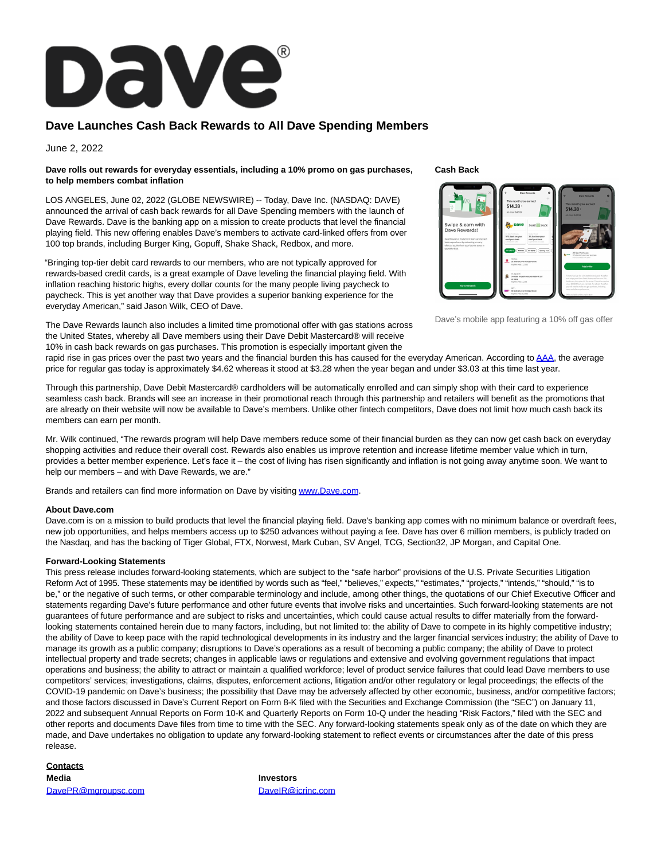

## **Dave Launches Cash Back Rewards to All Dave Spending Members**

June 2, 2022

### **Dave rolls out rewards for everyday essentials, including a 10% promo on gas purchases, to help members combat inflation**

LOS ANGELES, June 02, 2022 (GLOBE NEWSWIRE) -- Today, Dave Inc. (NASDAQ: DAVE) announced the arrival of cash back rewards for all Dave Spending members with the launch of Dave Rewards. Dave is the banking app on a mission to create products that level the financial playing field. This new offering enables Dave's members to activate card-linked offers from over 100 top brands, including Burger King, Gopuff, Shake Shack, Redbox, and more.

"Bringing top-tier debit card rewards to our members, who are not typically approved for rewards-based credit cards, is a great example of Dave leveling the financial playing field. With inflation reaching historic highs, every dollar counts for the many people living paycheck to paycheck. This is yet another way that Dave provides a superior banking experience for the everyday American," said Jason Wilk, CEO of Dave.

The Dave Rewards launch also includes a limited time promotional offer with gas stations across the United States, whereby all Dave members using their Dave Debit Mastercard® will receive 10% in cash back rewards on gas purchases. This promotion is especially important given the

#### **Cash Back**



Dave's mobile app featuring a 10% off gas offer

rapid rise in gas prices over the past two years and the financial burden this has caused for the everyday American. According t[o AAA,](https://www.globenewswire.com/Tracker?data=AByt1vuX3C9_BUKEpx_pycIZksPoq25xAobVeWpomtlB8D-XKCYjYXztk5YQLEPhsRd3c7-1GjEV1uwq8XuyIw==) the average price for regular gas today is approximately \$4.62 whereas it stood at \$3.28 when the year began and under \$3.03 at this time last year.

Through this partnership, Dave Debit Mastercard® cardholders will be automatically enrolled and can simply shop with their card to experience seamless cash back. Brands will see an increase in their promotional reach through this partnership and retailers will benefit as the promotions that are already on their website will now be available to Dave's members. Unlike other fintech competitors, Dave does not limit how much cash back its members can earn per month.

Mr. Wilk continued, "The rewards program will help Dave members reduce some of their financial burden as they can now get cash back on everyday shopping activities and reduce their overall cost. Rewards also enables us improve retention and increase lifetime member value which in turn, provides a better member experience. Let's face it – the cost of living has risen significantly and inflation is not going away anytime soon. We want to help our members – and with Dave Rewards, we are."

Brands and retailers can find more information on Dave by visitin[g www.Dave.com.](https://www.globenewswire.com/Tracker?data=ACdEJTXT9RalrlGK4iV_q-Iq3arApC0TP2ztHq90RLWLiwq13OXbgB2pNVPO-TgaBkWoKlz4OIdGW_yXy1_QnQ==)

### **About Dave.com**

Dave.com is on a mission to build products that level the financial playing field. Dave's banking app comes with no minimum balance or overdraft fees, new job opportunities, and helps members access up to \$250 advances without paying a fee. Dave has over 6 million members, is publicly traded on the Nasdaq, and has the backing of Tiger Global, FTX, Norwest, Mark Cuban, SV Angel, TCG, Section32, JP Morgan, and Capital One.

### **Forward-Looking Statements**

This press release includes forward-looking statements, which are subject to the "safe harbor" provisions of the U.S. Private Securities Litigation Reform Act of 1995. These statements may be identified by words such as "feel," "believes," expects," "estimates," "projects," "intends," "should," "is to be," or the negative of such terms, or other comparable terminology and include, among other things, the quotations of our Chief Executive Officer and statements regarding Dave's future performance and other future events that involve risks and uncertainties. Such forward-looking statements are not guarantees of future performance and are subject to risks and uncertainties, which could cause actual results to differ materially from the forwardlooking statements contained herein due to many factors, including, but not limited to: the ability of Dave to compete in its highly competitive industry; the ability of Dave to keep pace with the rapid technological developments in its industry and the larger financial services industry; the ability of Dave to manage its growth as a public company; disruptions to Dave's operations as a result of becoming a public company; the ability of Dave to protect intellectual property and trade secrets; changes in applicable laws or regulations and extensive and evolving government regulations that impact operations and business; the ability to attract or maintain a qualified workforce; level of product service failures that could lead Dave members to use competitors' services; investigations, claims, disputes, enforcement actions, litigation and/or other regulatory or legal proceedings; the effects of the COVID-19 pandemic on Dave's business; the possibility that Dave may be adversely affected by other economic, business, and/or competitive factors; and those factors discussed in Dave's Current Report on Form 8-K filed with the Securities and Exchange Commission (the "SEC") on January 11, 2022 and subsequent Annual Reports on Form 10-K and Quarterly Reports on Form 10-Q under the heading "Risk Factors," filed with the SEC and other reports and documents Dave files from time to time with the SEC. Any forward-looking statements speak only as of the date on which they are made, and Dave undertakes no obligation to update any forward-looking statement to reflect events or circumstances after the date of this press release.

# **Contacts**

[DavePR@mgroupsc.com](mailto:DavePR@mgroupsc.com) [DaveIR@icrinc.com](mailto:DaveIR@icrinc.com)

**Media Investors**